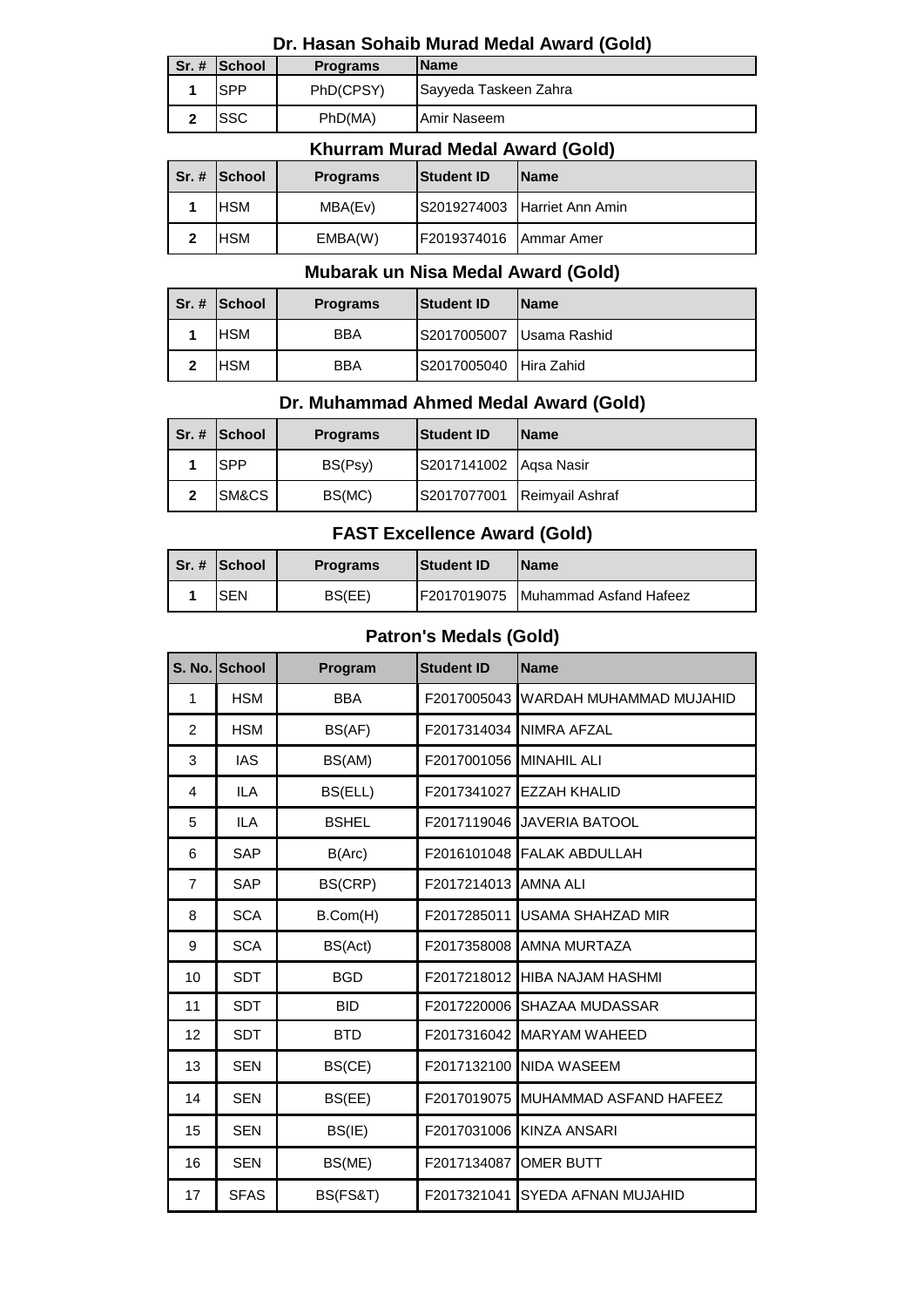### **Dr. Hasan Sohaib Murad Medal Award (Gold)**

| $Sr.$ # School | <b>Programs</b> | <b>Name</b>           |
|----------------|-----------------|-----------------------|
| <b>SPP</b>     | PhD(CPSY)       | Sayyeda Taskeen Zahra |
| .SSC           | PhD(MA)         | Amir Naseem           |

### **Khurram Murad Medal Award (Gold)**

|   | Sr. # School | <b>Programs</b> | <b>Student ID</b>      | <b>IName</b>                 |
|---|--------------|-----------------|------------------------|------------------------------|
|   | HSM          | MBA(Ev)         |                        | S2019274003 Harriet Ann Amin |
| 2 | HSM          | EMBA(W)         | F2019374016 Ammar Amer |                              |

### **Mubarak un Nisa Medal Award (Gold)**

|   | Sr. # School | <b>Programs</b> | <b>Student ID</b>        | <b>IName</b> |
|---|--------------|-----------------|--------------------------|--------------|
|   | <b>HSM</b>   | <b>BBA</b>      | S2017005007 Usama Rashid |              |
| າ | HSM          | <b>BBA</b>      | S2017005040 Hira Zahid   |              |

### **Dr. Muhammad Ahmed Medal Award (Gold)**

|              | $Sr.$ # School | <b>Programs</b> | <b>Student ID</b>      | <b>IName</b>                |
|--------------|----------------|-----------------|------------------------|-----------------------------|
|              | <b>SPP</b>     | BS(Psy)         | S2017141002 Aqsa Nasir |                             |
| $\mathbf{2}$ | SM&CS          | BS(MC)          |                        | S2017077001 Reimyail Ashraf |

### **FAST Excellence Award (Gold)**

|  | l Sr. # ISchool | <b>Programs</b> | <b>Student ID</b> | <b>IName</b>                               |
|--|-----------------|-----------------|-------------------|--------------------------------------------|
|  | <b>SEN</b>      | BS(EE)          |                   | <b>IF2017019075 Muhammad Asfand Hafeez</b> |

### **Patron's Medals (Gold)**

|                | S. No. School | Program      | <b>Student ID</b>       | <b>Name</b>                |
|----------------|---------------|--------------|-------------------------|----------------------------|
| 1              | <b>HSM</b>    | <b>BBA</b>   | F2017005043             | WARDAH MUHAMMAD MUJAHID    |
| $\overline{2}$ | <b>HSM</b>    | BS(AF)       |                         | F2017314034 NIMRA AFZAL    |
| 3              | <b>IAS</b>    | BS(AM)       | F2017001056 MINAHIL ALI |                            |
| 4              | <b>ILA</b>    | BS(ELL)      | F2017341027             | <b>EZZAH KHALID</b>        |
| 5              | <b>ILA</b>    | <b>BSHEL</b> | F2017119046             | <b>JAVERIA BATOOL</b>      |
| 6              | <b>SAP</b>    | B(Arc)       | F2016101048             | <b>FALAK ABDULLAH</b>      |
| $\overline{7}$ | <b>SAP</b>    | BS(CRP)      | F2017214013             | <b>AMNA ALI</b>            |
| 8              | <b>SCA</b>    | B.Com(H)     | F2017285011             | <b>USAMA SHAHZAD MIR</b>   |
| 9              | <b>SCA</b>    | BS(Act)      | F2017358008             | <b>AMNA MURTAZA</b>        |
| 10             | <b>SDT</b>    | <b>BGD</b>   | F2017218012             | <b>HIBA NAJAM HASHMI</b>   |
| 11             | <b>SDT</b>    | <b>BID</b>   | F2017220006             | <b>SHAZAA MUDASSAR</b>     |
| 12             | <b>SDT</b>    | <b>BTD</b>   |                         | F2017316042 MARYAM WAHEED  |
| 13             | <b>SEN</b>    | BS(CE)       | F2017132100             | NIDA WASEEM                |
| 14             | <b>SEN</b>    | BS(EE)       | F2017019075             | MUHAMMAD ASFAND HAFEEZ     |
| 15             | <b>SEN</b>    | BS(IE)       | F2017031006             | <b>KINZA ANSARI</b>        |
| 16             | <b>SEN</b>    | BS(ME)       | F2017134087             | <b>OMER BUTT</b>           |
| 17             | <b>SFAS</b>   | BS(FS&T)     | F2017321041             | <b>SYEDA AFNAN MUJAHID</b> |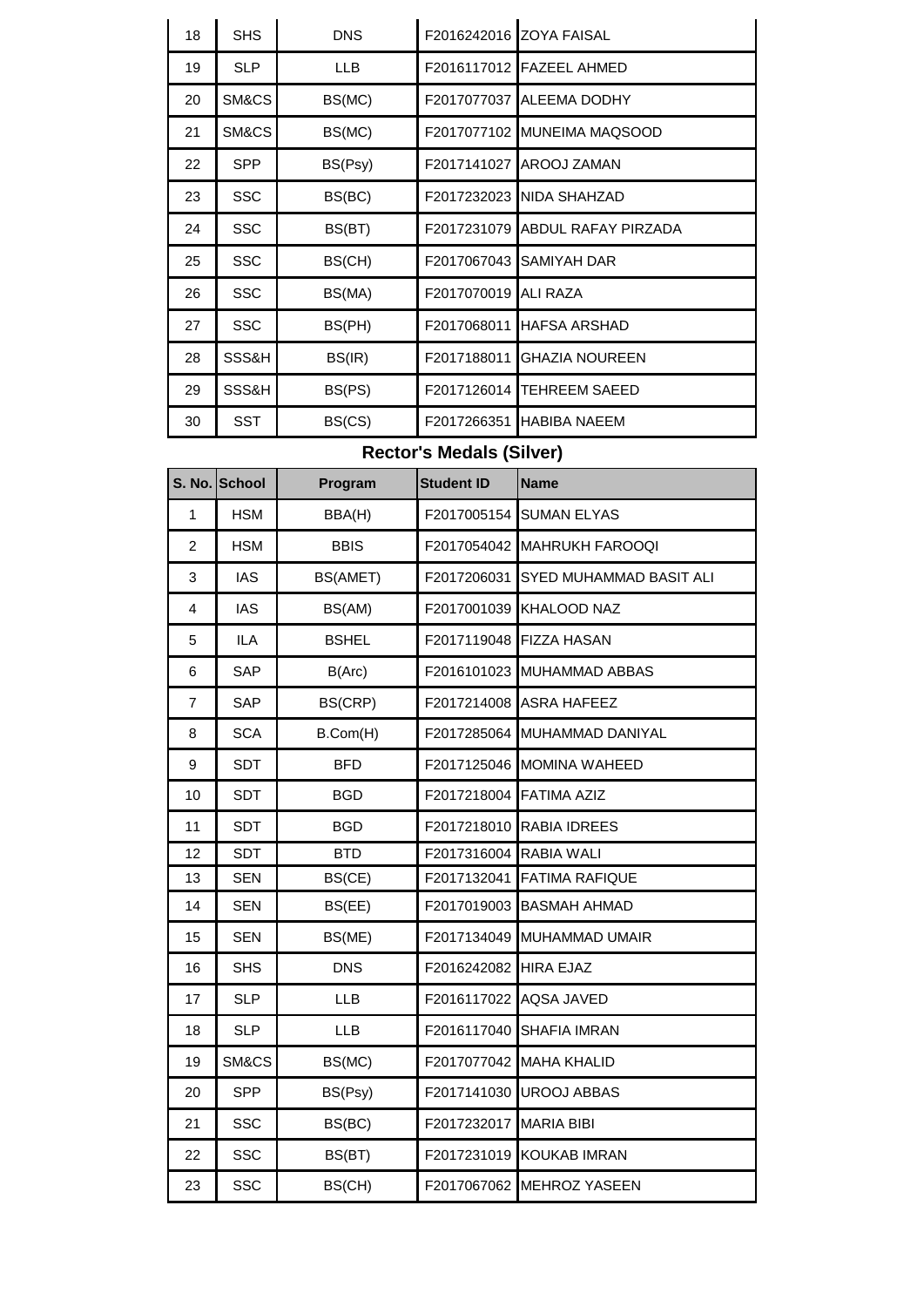| 18 | <b>SHS</b> | <b>DNS</b> |             | F2016242016 ZOYA FAISAL     |
|----|------------|------------|-------------|-----------------------------|
| 19 | <b>SLP</b> | <b>LLB</b> |             | F2016117012 FAZEEL AHMED    |
| 20 | SM&CS      | BS(MC)     | F2017077037 | <b>ALEEMA DODHY</b>         |
| 21 | SM&CS      | BS(MC)     |             | F2017077102 MUNEIMA MAQSOOD |
| 22 | <b>SPP</b> | BS(Psy)    | F2017141027 | AROOJ ZAMAN                 |
| 23 | <b>SSC</b> | BS(BC)     | F2017232023 | <b>NIDA SHAHZAD</b>         |
| 24 | <b>SSC</b> | BS(BT)     | F2017231079 | ABDUL RAFAY PIRZADA         |
| 25 | <b>SSC</b> | BS(CH)     | F2017067043 | <b>SAMIYAH DAR</b>          |
| 26 | <b>SSC</b> | BS(MA)     | F2017070019 | ALI RAZA                    |
| 27 | <b>SSC</b> | BS(PH)     | F2017068011 | <b>HAFSA ARSHAD</b>         |
| 28 | SSS&H      | BS(IR)     | F2017188011 | <b>GHAZIA NOUREEN</b>       |
| 29 | SSS&H      | BS(PS)     | F2017126014 | <b>TEHREEM SAEED</b>        |
| 30 | <b>SST</b> | BS(CS)     | F2017266351 | <b>HABIBA NAEEM</b>         |

# **Rector's Medals (Silver)**

|                | S. No. School | Program      | <b>Student ID</b> | <b>Name</b>               |
|----------------|---------------|--------------|-------------------|---------------------------|
| $\mathbf{1}$   | <b>HSM</b>    | BBA(H)       | F2017005154       | <b>SUMAN ELYAS</b>        |
| $\overline{2}$ | <b>HSM</b>    | <b>BBIS</b>  | F2017054042       | <b>MAHRUKH FAROOQI</b>    |
| 3              | <b>IAS</b>    | BS(AMET)     | F2017206031       | SYED MUHAMMAD BASIT ALI   |
| 4              | <b>IAS</b>    | BS(AM)       | F2017001039       | <b>KHALOOD NAZ</b>        |
| 5              | <b>ILA</b>    | <b>BSHEL</b> | F2017119048       | <b>FIZZA HASAN</b>        |
| 6              | SAP           | B(Arc)       | F2016101023       | MUHAMMAD ABBAS            |
| $\overline{7}$ | <b>SAP</b>    | BS(CRP)      | F2017214008       | <b>ASRA HAFEEZ</b>        |
| 8              | <b>SCA</b>    | B.Com(H)     | F2017285064       | MUHAMMAD DANIYAL          |
| 9              | <b>SDT</b>    | <b>BFD</b>   | F2017125046       | <b>MOMINA WAHEED</b>      |
| 10             | <b>SDT</b>    | <b>BGD</b>   | F2017218004       | <b>FATIMA AZIZ</b>        |
| 11             | <b>SDT</b>    | <b>BGD</b>   | F2017218010       | RABIA IDREES              |
| 12             | <b>SDT</b>    | <b>BTD</b>   | F2017316004       | RABIA WALI                |
| 13             | <b>SEN</b>    | BS(CE)       | F2017132041       | <b>FATIMA RAFIQUE</b>     |
| 14             | <b>SEN</b>    | BS(EE)       | F2017019003       | <b>BASMAH AHMAD</b>       |
| 15             | <b>SEN</b>    | BS(ME)       | F2017134049       | MUHAMMAD UMAIR            |
| 16             | <b>SHS</b>    | <b>DNS</b>   | F2016242082       | <b>HIRA EJAZ</b>          |
| 17             | <b>SLP</b>    | <b>LLB</b>   | F2016117022       | <b>AQSA JAVED</b>         |
| 18             | <b>SLP</b>    | <b>LLB</b>   | F2016117040       | <b>SHAFIA IMRAN</b>       |
| 19             | SM&CS         | BS(MC)       | F2017077042       | <b>MAHA KHALID</b>        |
| 20             | <b>SPP</b>    | BS(Psy)      | F2017141030       | <b>UROOJ ABBAS</b>        |
| 21             | <b>SSC</b>    | BS(BC)       | F2017232017       | <b>MARIA BIBI</b>         |
| 22             | <b>SSC</b>    | BS(BT)       | F2017231019       | <b>KOUKAB IMRAN</b>       |
| 23             | <b>SSC</b>    | BS(CH)       |                   | F2017067062 MEHROZ YASEEN |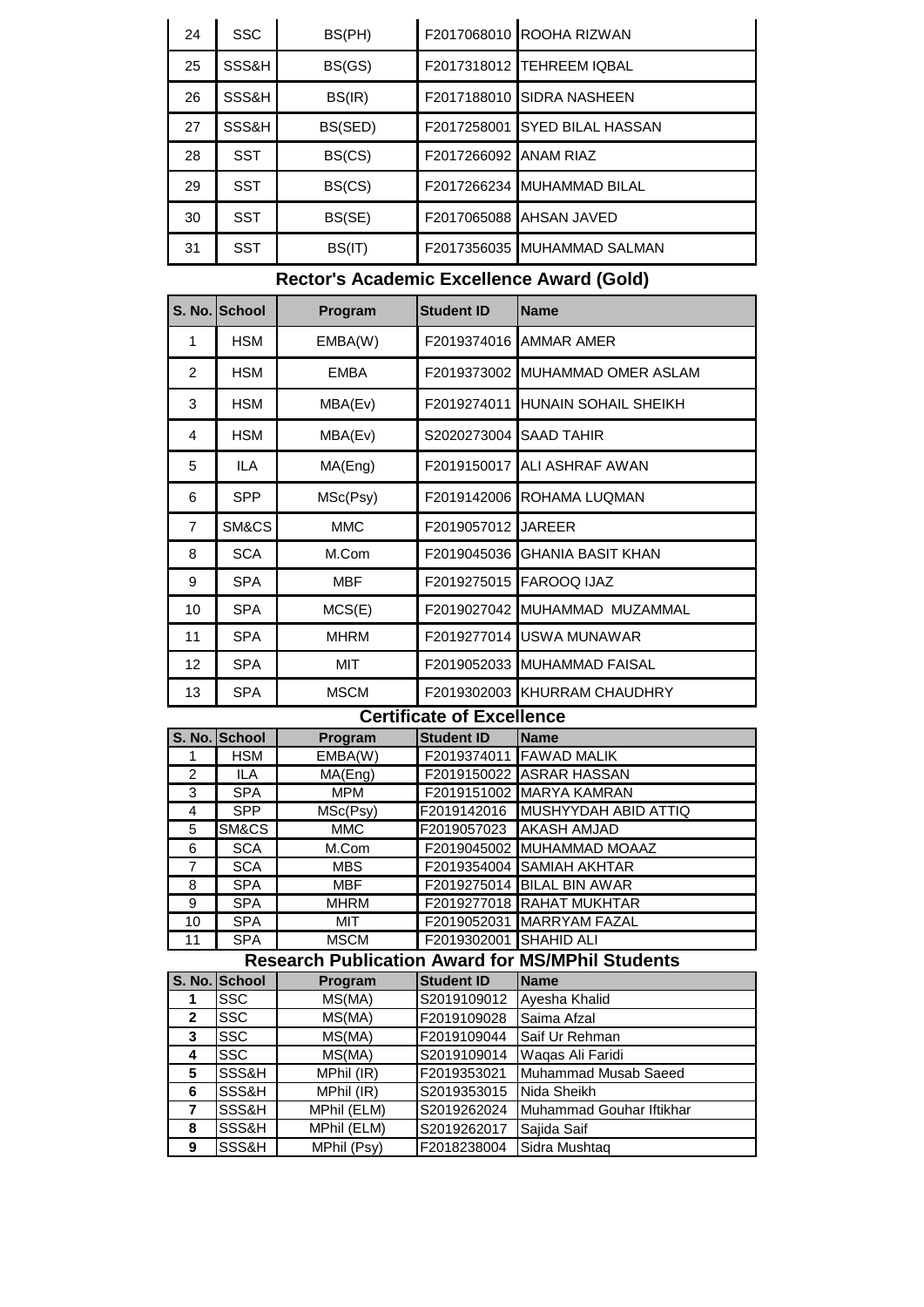| 24 | <b>SSC</b> | BS(PH)  |             | F2017068010 ROOHA RIZWAN   |
|----|------------|---------|-------------|----------------------------|
| 25 | SSS&H      | BS(GS)  |             | F2017318012 TEHREEM IQBAL  |
| 26 | SSS&H      | BS(IR)  | F2017188010 | <b>ISIDRA NASHEEN</b>      |
| 27 | SSS&H      | BS(SED) | F2017258001 | <b>SYED BILAL HASSAN</b>   |
| 28 | <b>SST</b> | BS(CS)  | F2017266092 | <b>ANAM RIAZ</b>           |
| 29 | <b>SST</b> | BS(CS)  |             | F2017266234 MUHAMMAD BILAL |
| 30 | <b>SST</b> | BS(SE)  | F2017065088 | AHSAN JAVED                |
| 31 | <b>SST</b> | BS(IT)  | F2017356035 | IMUHAMMAD SALMAN           |

# **Rector's Academic Excellence Award (Gold)**

|                 | S. No. School | Program     | <b>Student ID</b> | <b>Name</b>                 |
|-----------------|---------------|-------------|-------------------|-----------------------------|
| 1               | <b>HSM</b>    | EMBA(W)     | F2019374016       | AMMAR AMER                  |
| 2               | <b>HSM</b>    | <b>EMBA</b> | F2019373002       | MUHAMMAD OMER ASLAM         |
| 3               | <b>HSM</b>    | MBA(Ev)     | F2019274011       | HUNAIN SOHAIL SHEIKH        |
| 4               | <b>HSM</b>    | MBA(Ev)     | S2020273004       | <b>SAAD TAHIR</b>           |
| 5               | ILA           | MA(Eng)     | F2019150017       | <b>ALI ASHRAF AWAN</b>      |
| 6               | <b>SPP</b>    | MSc(Psy)    | F2019142006       | IROHAMA LUQMAN              |
| $\overline{7}$  | SM&CS         | <b>MMC</b>  | F2019057012       | <b>JAREER</b>               |
| 8               | <b>SCA</b>    | M.Com       | F2019045036       | <b>GHANIA BASIT KHAN</b>    |
| 9               | <b>SPA</b>    | <b>MBF</b>  | F2019275015       | <b>FAROOQ IJAZ</b>          |
| 10              | <b>SPA</b>    | MCS(E)      | F2019027042       | <b>IMUHAMMAD MUZAMMAL</b>   |
| 11              | <b>SPA</b>    | <b>MHRM</b> | F2019277014       | <b>USWA MUNAWAR</b>         |
| 12 <sup>2</sup> | <b>SPA</b>    | MIT         |                   | F2019052033 MUHAMMAD FAISAL |
| 13              | <b>SPA</b>    | <b>MSCM</b> | F2019302003       | IKHURRAM CHAUDHRY           |

### **Certificate of Excellence**

|    | S. No. School                                           | <b>Program</b> | <b>Student ID</b>      | <b>Name</b>                |  |  |  |
|----|---------------------------------------------------------|----------------|------------------------|----------------------------|--|--|--|
|    | <b>HSM</b>                                              | EMBA(W)        |                        | F2019374011 FAWAD MALIK    |  |  |  |
| 2  | ILA                                                     | MA(Eng)        |                        | F2019150022 ASRAR HASSAN   |  |  |  |
| 3  | <b>SPA</b>                                              | <b>MPM</b>     |                        | F2019151002 MARYA KAMRAN   |  |  |  |
| 4  | <b>SPP</b>                                              | MSc(Psy)       | F2019142016            | MUSHYYDAH ABID ATTIQ       |  |  |  |
| 5  | SM&CS                                                   | <b>MMC</b>     | F2019057023            | <b>AKASH AMJAD</b>         |  |  |  |
| 6  | <b>SCA</b>                                              | M.Com          |                        | F2019045002 MUHAMMAD MOAAZ |  |  |  |
| 7  | <b>SCA</b>                                              | <b>MBS</b>     |                        | F2019354004 SAMIAH AKHTAR  |  |  |  |
| 8  | <b>SPA</b>                                              | <b>MBF</b>     |                        | F2019275014 BILAL BIN AWAR |  |  |  |
| 9  | <b>SPA</b>                                              | <b>MHRM</b>    |                        | F2019277018 RAHAT MUKHTAR  |  |  |  |
| 10 | <b>SPA</b>                                              | MIT            |                        | F2019052031 MARRYAM FAZAL  |  |  |  |
| 11 | <b>SPA</b>                                              | <b>MSCM</b>    | F2019302001 SHAHID ALI |                            |  |  |  |
|    | <b>Research Publication Award for MS/MPhil Students</b> |                |                        |                            |  |  |  |

|              | בווסטוס ווון שמונים וטו וטו ווויס וואר וועל מינו של המשפחה ו |             |                   |                          |  |  |  |
|--------------|--------------------------------------------------------------|-------------|-------------------|--------------------------|--|--|--|
|              | S. No. School                                                | Program     | <b>Student ID</b> | <b>Name</b>              |  |  |  |
|              | <b>SSC</b>                                                   | MS(MA)      | S2019109012       | Ayesha Khalid            |  |  |  |
| $\mathbf{2}$ | <b>SSC</b>                                                   | MS(MA)      | F2019109028       | Saima Afzal              |  |  |  |
| 3            | <b>SSC</b>                                                   | MS(MA)      | F2019109044       | Saif Ur Rehman           |  |  |  |
| 4            | <b>SSC</b>                                                   | MS(MA)      | S2019109014       | Waqas Ali Faridi         |  |  |  |
| 5            | SSS&H                                                        | MPhil (IR)  | F2019353021       | Muhammad Musab Saeed     |  |  |  |
| 6            | SSS&H                                                        | MPhil (IR)  | S2019353015       | Nida Sheikh              |  |  |  |
| 7            | SSS&H                                                        | MPhil (ELM) | S2019262024       | Muhammad Gouhar Iftikhar |  |  |  |
| 8            | SSS&H                                                        | MPhil (ELM) | S2019262017       | Sajida Saif              |  |  |  |
| 9            | SSS&H                                                        | MPhil (Psy) | F2018238004       | Sidra Mushtaq            |  |  |  |